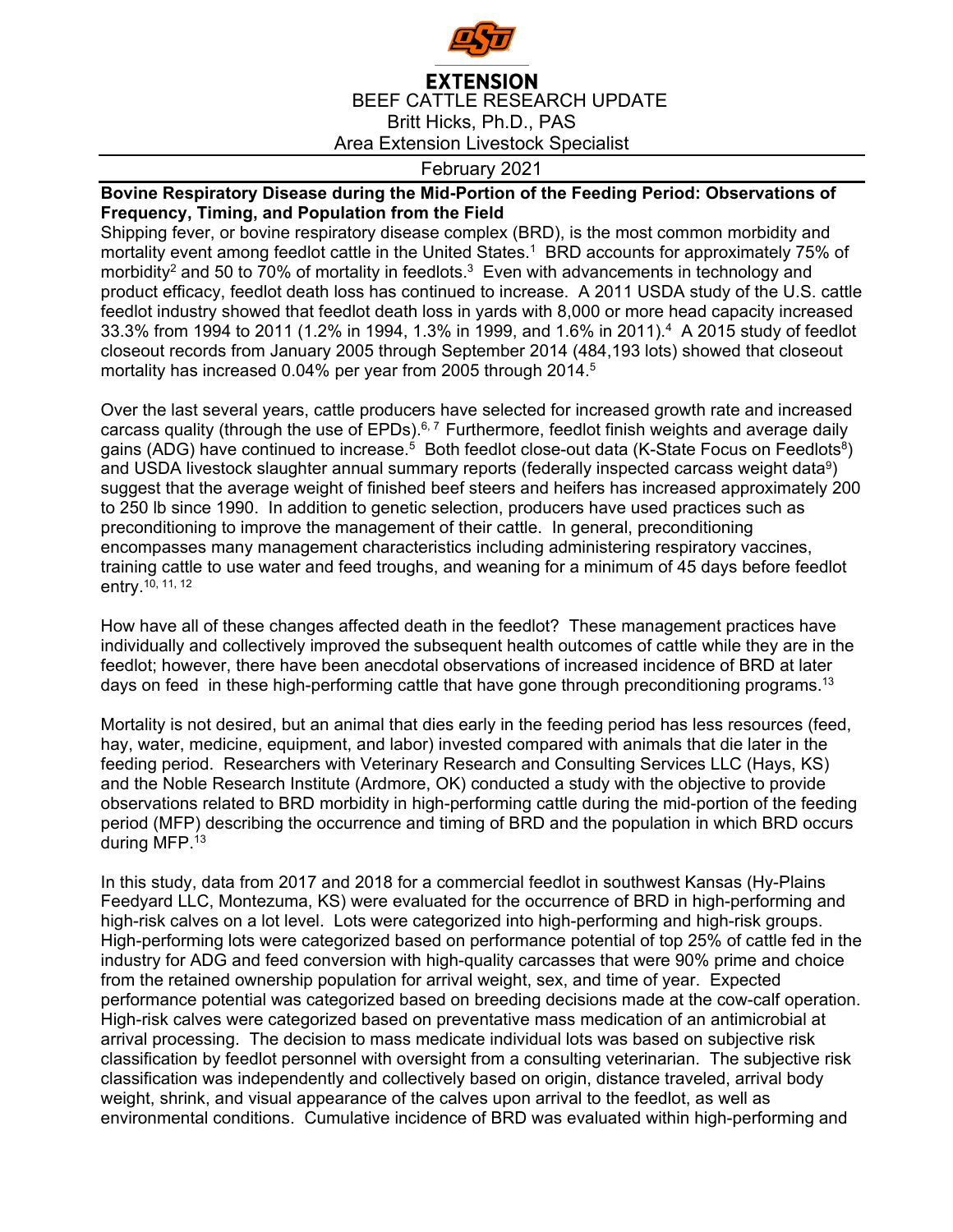

## **EXTENSION** BEEF CATTLE RESEARCH UPDATE Britt Hicks, Ph.D., PAS Area Extension Livestock Specialist

## February 2021

## **Bovine Respiratory Disease during the Mid-Portion of the Feeding Period: Observations of Frequency, Timing, and Population from the Field**

Shipping fever, or bovine respiratory disease complex (BRD), is the most common morbidity and mortality event among feedlot cattle in the United States.1 BRD accounts for approximately 75% of morbidity<sup>2</sup> and 50 to 70% of mortality in feedlots.<sup>3</sup> Even with advancements in technology and product efficacy, feedlot death loss has continued to increase. A 2011 USDA study of the U.S. cattle feedlot industry showed that feedlot death loss in yards with 8,000 or more head capacity increased 33.3% from 1994 to 2011 (1.2% in 1994, 1.3% in 1999, and 1.6% in 2011).4 A 2015 study of feedlot closeout records from January 2005 through September 2014 (484,193 lots) showed that closeout mortality has increased 0.04% per year from 2005 through 2014.<sup>5</sup>

Over the last several years, cattle producers have selected for increased growth rate and increased carcass quality (through the use of EPDs).<sup>6,7</sup> Furthermore, feedlot finish weights and average daily gains (ADG) have continued to increase.<sup>5</sup> Both feedlot close-out data (K-State Focus on Feedlots<sup>8</sup>) and USDA livestock slaughter annual summary reports (federally inspected carcass weight data<sup>9</sup>) suggest that the average weight of finished beef steers and heifers has increased approximately 200 to 250 lb since 1990. In addition to genetic selection, producers have used practices such as preconditioning to improve the management of their cattle. In general, preconditioning encompasses many management characteristics including administering respiratory vaccines, training cattle to use water and feed troughs, and weaning for a minimum of 45 days before feedlot entry.  $10, 11, 12$ 

How have all of these changes affected death in the feedlot? These management practices have individually and collectively improved the subsequent health outcomes of cattle while they are in the feedlot; however, there have been anecdotal observations of increased incidence of BRD at later days on feed in these high-performing cattle that have gone through preconditioning programs.<sup>13</sup>

Mortality is not desired, but an animal that dies early in the feeding period has less resources (feed, hay, water, medicine, equipment, and labor) invested compared with animals that die later in the feeding period. Researchers with Veterinary Research and Consulting Services LLC (Hays, KS) and the Noble Research Institute (Ardmore, OK) conducted a study with the objective to provide observations related to BRD morbidity in high-performing cattle during the mid-portion of the feeding period (MFP) describing the occurrence and timing of BRD and the population in which BRD occurs during MFP.<sup>13</sup>

In this study, data from 2017 and 2018 for a commercial feedlot in southwest Kansas (Hy-Plains Feedyard LLC, Montezuma, KS) were evaluated for the occurrence of BRD in high-performing and high-risk calves on a lot level. Lots were categorized into high-performing and high-risk groups. High-performing lots were categorized based on performance potential of top 25% of cattle fed in the industry for ADG and feed conversion with high-quality carcasses that were 90% prime and choice from the retained ownership population for arrival weight, sex, and time of year. Expected performance potential was categorized based on breeding decisions made at the cow-calf operation. High-risk calves were categorized based on preventative mass medication of an antimicrobial at arrival processing. The decision to mass medicate individual lots was based on subjective risk classification by feedlot personnel with oversight from a consulting veterinarian. The subjective risk classification was independently and collectively based on origin, distance traveled, arrival body weight, shrink, and visual appearance of the calves upon arrival to the feedlot, as well as environmental conditions. Cumulative incidence of BRD was evaluated within high-performing and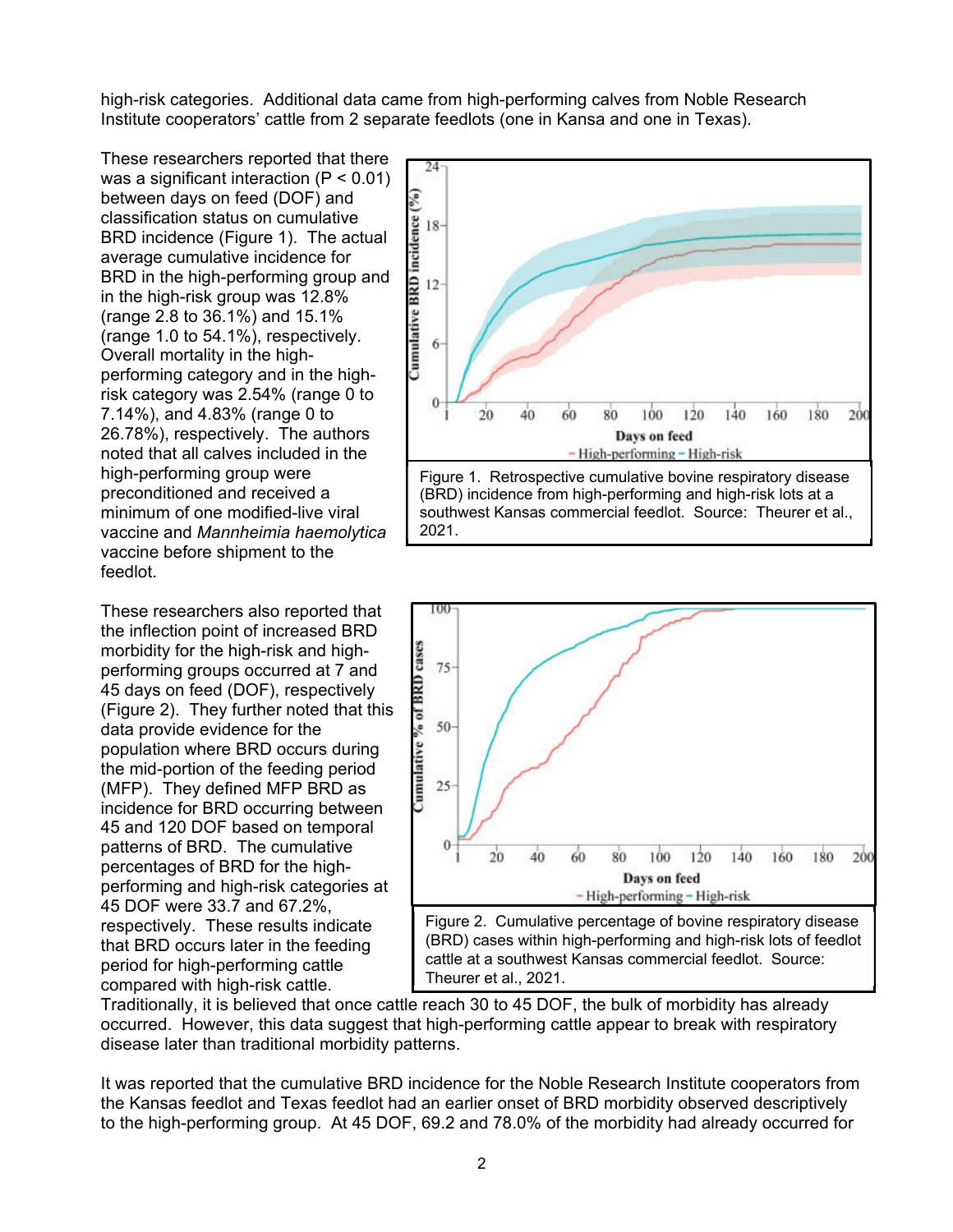high-risk categories. Additional data came from high-performing calves from Noble Research Institute cooperators' cattle from 2 separate feedlots (one in Kansa and one in Texas).

These researchers reported that there was a significant interaction (P < 0.01) between days on feed (DOF) and classification status on cumulative BRD incidence (Figure 1). The actual average cumulative incidence for BRD in the high-performing group and in the high-risk group was 12.8% (range 2.8 to 36.1%) and 15.1% (range 1.0 to 54.1%), respectively. Overall mortality in the highperforming category and in the highrisk category was 2.54% (range 0 to 7.14%), and 4.83% (range 0 to 26.78%), respectively. The authors noted that all calves included in the high-performing group were preconditioned and received a minimum of one modified-live viral vaccine and *Mannheimia haemolytica* vaccine before shipment to the feedlot.

These researchers also reported that the inflection point of increased BRD morbidity for the high-risk and highperforming groups occurred at 7 and 45 days on feed (DOF), respectively (Figure 2). They further noted that this data provide evidence for the population where BRD occurs during the mid-portion of the feeding period (MFP). They defined MFP BRD as incidence for BRD occurring between 45 and 120 DOF based on temporal patterns of BRD. The cumulative percentages of BRD for the highperforming and high-risk categories at 45 DOF were 33.7 and 67.2%, respectively. These results indicate that BRD occurs later in the feeding period for high-performing cattle compared with high-risk cattle.





Traditionally, it is believed that once cattle reach 30 to 45 DOF, the bulk of morbidity has already occurred. However, this data suggest that high-performing cattle appear to break with respiratory disease later than traditional morbidity patterns.

It was reported that the cumulative BRD incidence for the Noble Research Institute cooperators from the Kansas feedlot and Texas feedlot had an earlier onset of BRD morbidity observed descriptively to the high-performing group. At 45 DOF, 69.2 and 78.0% of the morbidity had already occurred for